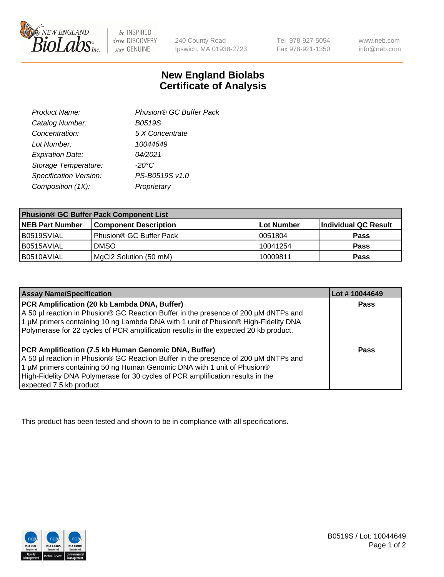

 $be$  INSPIRED drive DISCOVERY stay GENUINE

240 County Road Ipswich, MA 01938-2723 Tel 978-927-5054 Fax 978-921-1350 www.neb.com info@neb.com

## **New England Biolabs Certificate of Analysis**

| Phusion® GC Buffer Pack |
|-------------------------|
| <b>B0519S</b>           |
| 5 X Concentrate         |
| 10044649                |
| 04/2021                 |
| $-20^{\circ}$ C         |
| PS-B0519S v1.0          |
| Proprietary             |
|                         |

| <b>Phusion® GC Buffer Pack Component List</b> |                              |             |                      |  |
|-----------------------------------------------|------------------------------|-------------|----------------------|--|
| <b>NEB Part Number</b>                        | <b>Component Description</b> | ∣Lot Number | Individual QC Result |  |
| B0519SVIAL                                    | Phusion® GC Buffer Pack      | 10051804    | <b>Pass</b>          |  |
| B0515AVIAL                                    | <b>DMSO</b>                  | 10041254    | <b>Pass</b>          |  |
| B0510AVIAL                                    | MgCl2 Solution (50 mM)       | 10009811    | <b>Pass</b>          |  |

| <b>Assay Name/Specification</b>                                                                                                                                                                                                                                                                                                      | Lot #10044649 |
|--------------------------------------------------------------------------------------------------------------------------------------------------------------------------------------------------------------------------------------------------------------------------------------------------------------------------------------|---------------|
| PCR Amplification (20 kb Lambda DNA, Buffer)<br>A 50 µl reaction in Phusion® GC Reaction Buffer in the presence of 200 µM dNTPs and<br>1 μM primers containing 10 ng Lambda DNA with 1 unit of Phusion® High-Fidelity DNA<br>Polymerase for 22 cycles of PCR amplification results in the expected 20 kb product.                    | <b>Pass</b>   |
| PCR Amplification (7.5 kb Human Genomic DNA, Buffer)<br>A 50 µl reaction in Phusion® GC Reaction Buffer in the presence of 200 µM dNTPs and<br>1 µM primers containing 50 ng Human Genomic DNA with 1 unit of Phusion®<br>High-Fidelity DNA Polymerase for 30 cycles of PCR amplification results in the<br>expected 7.5 kb product. | Pass          |

This product has been tested and shown to be in compliance with all specifications.